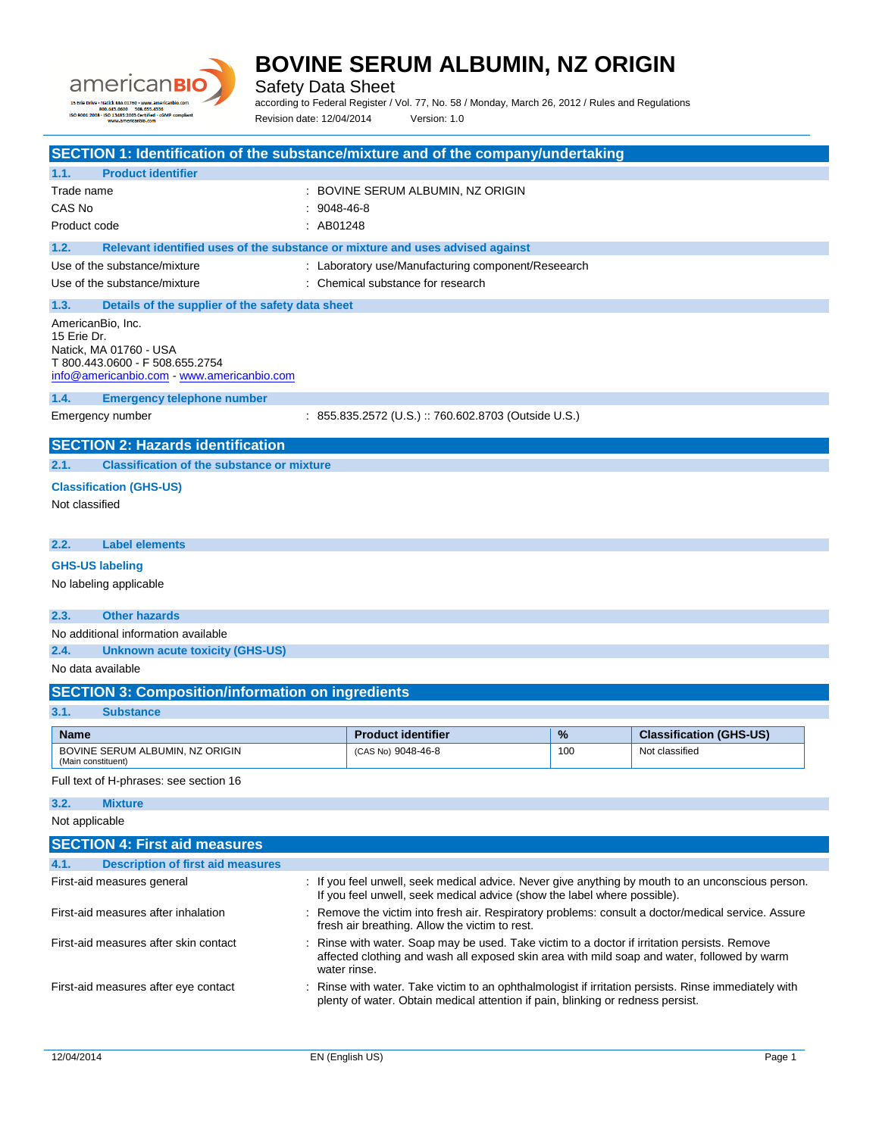

Safety Data Sheet

according to Federal Register / Vol. 77, No. 58 / Monday, March 26, 2012 / Rules and Regulations Revision date: 12/04/2014 Version: 1.0

| SECTION 1: Identification of the substance/mixture and of the company/undertaking     |               |                                                                                                                                                |     |                                |
|---------------------------------------------------------------------------------------|---------------|------------------------------------------------------------------------------------------------------------------------------------------------|-----|--------------------------------|
| <b>Product identifier</b><br>1.1.                                                     |               |                                                                                                                                                |     |                                |
| Trade name                                                                            |               | : BOVINE SERUM ALBUMIN, NZ ORIGIN                                                                                                              |     |                                |
| CAS No                                                                                | $: 9048-46-8$ |                                                                                                                                                |     |                                |
| Product code                                                                          | : AB01248     |                                                                                                                                                |     |                                |
| 1.2.<br>Relevant identified uses of the substance or mixture and uses advised against |               |                                                                                                                                                |     |                                |
| Use of the substance/mixture                                                          |               | : Laboratory use/Manufacturing component/Reseearch                                                                                             |     |                                |
| Use of the substance/mixture                                                          |               | : Chemical substance for research                                                                                                              |     |                                |
| 1.3.<br>Details of the supplier of the safety data sheet                              |               |                                                                                                                                                |     |                                |
| AmericanBio, Inc.                                                                     |               |                                                                                                                                                |     |                                |
| 15 Erie Dr.<br>Natick, MA 01760 - USA                                                 |               |                                                                                                                                                |     |                                |
| T 800.443.0600 - F 508.655.2754                                                       |               |                                                                                                                                                |     |                                |
| info@americanbio.com www.americanbio.com                                              |               |                                                                                                                                                |     |                                |
| 1.4.<br><b>Emergency telephone number</b>                                             |               |                                                                                                                                                |     |                                |
| Emergency number                                                                      |               | : 855.835.2572 (U.S.) :: 760.602.8703 (Outside U.S.)                                                                                           |     |                                |
| <b>SECTION 2: Hazards identification</b>                                              |               |                                                                                                                                                |     |                                |
|                                                                                       |               |                                                                                                                                                |     |                                |
| <b>Classification of the substance or mixture</b><br>2.1.                             |               |                                                                                                                                                |     |                                |
| <b>Classification (GHS-US)</b>                                                        |               |                                                                                                                                                |     |                                |
| Not classified                                                                        |               |                                                                                                                                                |     |                                |
|                                                                                       |               |                                                                                                                                                |     |                                |
| <b>Label elements</b><br>2.2.                                                         |               |                                                                                                                                                |     |                                |
| <b>GHS-US labeling</b>                                                                |               |                                                                                                                                                |     |                                |
| No labeling applicable                                                                |               |                                                                                                                                                |     |                                |
|                                                                                       |               |                                                                                                                                                |     |                                |
| <b>Other hazards</b><br>2.3.                                                          |               |                                                                                                                                                |     |                                |
| No additional information available                                                   |               |                                                                                                                                                |     |                                |
| 2.4.<br><b>Unknown acute toxicity (GHS-US)</b>                                        |               |                                                                                                                                                |     |                                |
| No data available                                                                     |               |                                                                                                                                                |     |                                |
| <b>SECTION 3: Composition/information on ingredients</b>                              |               |                                                                                                                                                |     |                                |
| 3.1.<br><b>Substance</b>                                                              |               |                                                                                                                                                |     |                                |
| <b>Name</b>                                                                           |               | <b>Product identifier</b>                                                                                                                      | %   | <b>Classification (GHS-US)</b> |
| BOVINE SERUM ALBUMIN, NZ ORIGIN                                                       |               | (CAS No) 9048-46-8                                                                                                                             | 100 | Not classified                 |
| (Main constituent)<br>Full text of H-phrases: see section 16                          |               |                                                                                                                                                |     |                                |
| 3.2.<br><b>Mixture</b>                                                                |               |                                                                                                                                                |     |                                |
| Not applicable                                                                        |               |                                                                                                                                                |     |                                |
| <b>SECTION 4: First aid measures</b>                                                  |               |                                                                                                                                                |     |                                |
| 4.1.<br><b>Description of first aid measures</b>                                      |               |                                                                                                                                                |     |                                |
| First-aid measures general                                                            |               | : If you feel unwell, seek medical advice. Never give anything by mouth to an unconscious person.                                              |     |                                |
|                                                                                       |               | If you feel unwell, seek medical advice (show the label where possible).                                                                       |     |                                |
| First-aid measures after inhalation                                                   |               | : Remove the victim into fresh air. Respiratory problems: consult a doctor/medical service. Assure                                             |     |                                |
| First-aid measures after skin contact                                                 |               | fresh air breathing. Allow the victim to rest.<br>: Rinse with water. Soap may be used. Take victim to a doctor if irritation persists. Remove |     |                                |
|                                                                                       |               | affected clothing and wash all exposed skin area with mild soap and water, followed by warm                                                    |     |                                |
|                                                                                       |               | water rinse.                                                                                                                                   |     |                                |
| First-aid measures after eye contact                                                  |               | Rinse with water. Take victim to an ophthalmologist if irritation persists. Rinse immediately with                                             |     |                                |
|                                                                                       |               | plenty of water. Obtain medical attention if pain, blinking or redness persist.                                                                |     |                                |
|                                                                                       |               |                                                                                                                                                |     |                                |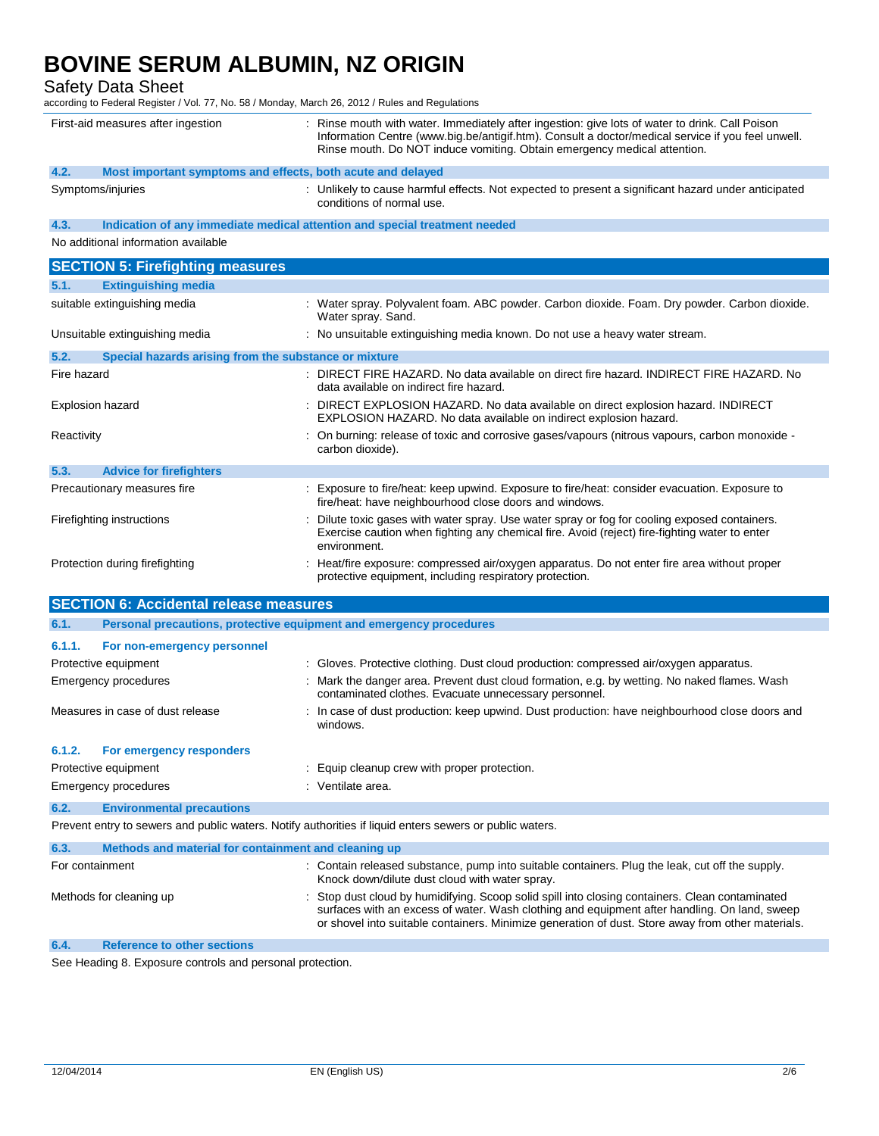Safety Data Sheet

according to Federal Register / Vol. 77, No. 58 / Monday, March 26, 2012 / Rules and Regulations

|                   | First-aid measures after ingestion                                         | : Rinse mouth with water. Immediately after ingestion: give lots of water to drink. Call Poison<br>Information Centre (www.big.be/antigif.htm). Consult a doctor/medical service if you feel unwell.<br>Rinse mouth. Do NOT induce vomiting. Obtain emergency medical attention.                     |
|-------------------|----------------------------------------------------------------------------|------------------------------------------------------------------------------------------------------------------------------------------------------------------------------------------------------------------------------------------------------------------------------------------------------|
| 4.2.              | Most important symptoms and effects, both acute and delayed                |                                                                                                                                                                                                                                                                                                      |
| Symptoms/injuries |                                                                            | : Unlikely to cause harmful effects. Not expected to present a significant hazard under anticipated<br>conditions of normal use.                                                                                                                                                                     |
| 4.3.              | Indication of any immediate medical attention and special treatment needed |                                                                                                                                                                                                                                                                                                      |
|                   | No additional information available                                        |                                                                                                                                                                                                                                                                                                      |
|                   | <b>SECTION 5: Firefighting measures</b>                                    |                                                                                                                                                                                                                                                                                                      |
| 5.1.              | <b>Extinguishing media</b>                                                 |                                                                                                                                                                                                                                                                                                      |
|                   | suitable extinguishing media                                               | : Water spray. Polyvalent foam. ABC powder. Carbon dioxide. Foam. Dry powder. Carbon dioxide.<br>Water spray. Sand.                                                                                                                                                                                  |
|                   | Unsuitable extinguishing media                                             | : No unsuitable extinguishing media known. Do not use a heavy water stream.                                                                                                                                                                                                                          |
| 5.2.              | Special hazards arising from the substance or mixture                      |                                                                                                                                                                                                                                                                                                      |
| Fire hazard       |                                                                            | : DIRECT FIRE HAZARD. No data available on direct fire hazard. INDIRECT FIRE HAZARD. No<br>data available on indirect fire hazard.                                                                                                                                                                   |
| Explosion hazard  |                                                                            | : DIRECT EXPLOSION HAZARD. No data available on direct explosion hazard. INDIRECT<br>EXPLOSION HAZARD. No data available on indirect explosion hazard.                                                                                                                                               |
| Reactivity        |                                                                            | : On burning: release of toxic and corrosive gases/vapours (nitrous vapours, carbon monoxide -<br>carbon dioxide).                                                                                                                                                                                   |
| 5.3.              | <b>Advice for firefighters</b>                                             |                                                                                                                                                                                                                                                                                                      |
|                   | Precautionary measures fire                                                | : Exposure to fire/heat: keep upwind. Exposure to fire/heat: consider evacuation. Exposure to<br>fire/heat: have neighbourhood close doors and windows.                                                                                                                                              |
|                   | Firefighting instructions                                                  | Dilute toxic gases with water spray. Use water spray or fog for cooling exposed containers.<br>Exercise caution when fighting any chemical fire. Avoid (reject) fire-fighting water to enter<br>environment.                                                                                         |
|                   | Protection during firefighting                                             | Heat/fire exposure: compressed air/oxygen apparatus. Do not enter fire area without proper<br>protective equipment, including respiratory protection.                                                                                                                                                |
|                   | <b>SECTION 6: Accidental release measures</b>                              |                                                                                                                                                                                                                                                                                                      |
| 6.1.              | Personal precautions, protective equipment and emergency procedures        |                                                                                                                                                                                                                                                                                                      |
| 6.1.1.            | For non-emergency personnel                                                |                                                                                                                                                                                                                                                                                                      |
|                   | Protective equipment                                                       | : Gloves. Protective clothing. Dust cloud production: compressed air/oxygen apparatus.                                                                                                                                                                                                               |
|                   | <b>Emergency procedures</b>                                                | : Mark the danger area. Prevent dust cloud formation, e.g. by wetting. No naked flames. Wash<br>contaminated clothes. Evacuate unnecessary personnel.                                                                                                                                                |
|                   | Measures in case of dust release                                           | : In case of dust production: keep upwind. Dust production: have neighbourhood close doors and<br>windows.                                                                                                                                                                                           |
| 6.1.2.            | <b>For emergency responders</b>                                            |                                                                                                                                                                                                                                                                                                      |
|                   | Protective equipment                                                       | Equip cleanup crew with proper protection.                                                                                                                                                                                                                                                           |
|                   | <b>Emergency procedures</b>                                                | : Ventilate area.                                                                                                                                                                                                                                                                                    |
| 6.2.              | <b>Environmental precautions</b>                                           |                                                                                                                                                                                                                                                                                                      |
|                   |                                                                            | Prevent entry to sewers and public waters. Notify authorities if liquid enters sewers or public waters.                                                                                                                                                                                              |
| 6.3.              | Methods and material for containment and cleaning up                       |                                                                                                                                                                                                                                                                                                      |
| For containment   |                                                                            | : Contain released substance, pump into suitable containers. Plug the leak, cut off the supply.<br>Knock down/dilute dust cloud with water spray.                                                                                                                                                    |
|                   | Methods for cleaning up                                                    | : Stop dust cloud by humidifying. Scoop solid spill into closing containers. Clean contaminated<br>surfaces with an excess of water. Wash clothing and equipment after handling. On land, sweep<br>or shovel into suitable containers. Minimize generation of dust. Store away from other materials. |
| 6.4.              | <b>Reference to other sections</b>                                         |                                                                                                                                                                                                                                                                                                      |

See Heading 8. Exposure controls and personal protection.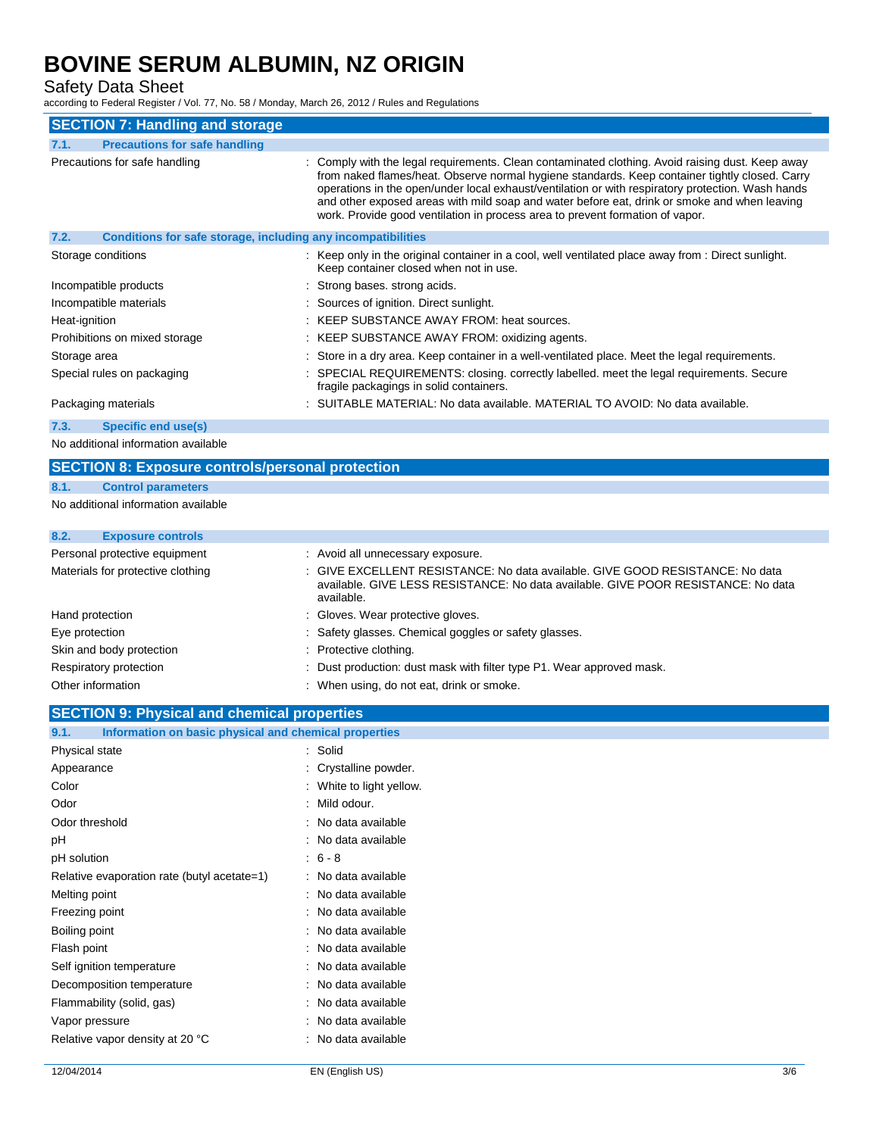Safety Data Sheet

according to Federal Register / Vol. 77, No. 58 / Monday, March 26, 2012 / Rules and Regulations

| <b>SECTION 7: Handling and storage</b>                               |                                                                                                                                                                                                                                                                                                                                                                                                                                                                                          |
|----------------------------------------------------------------------|------------------------------------------------------------------------------------------------------------------------------------------------------------------------------------------------------------------------------------------------------------------------------------------------------------------------------------------------------------------------------------------------------------------------------------------------------------------------------------------|
| <b>Precautions for safe handling</b><br>7.1.                         |                                                                                                                                                                                                                                                                                                                                                                                                                                                                                          |
| Precautions for safe handling                                        | : Comply with the legal requirements. Clean contaminated clothing. Avoid raising dust. Keep away<br>from naked flames/heat. Observe normal hygiene standards. Keep container tightly closed. Carry<br>operations in the open/under local exhaust/ventilation or with respiratory protection. Wash hands<br>and other exposed areas with mild soap and water before eat, drink or smoke and when leaving<br>work. Provide good ventilation in process area to prevent formation of vapor. |
| 7.2.<br>Conditions for safe storage, including any incompatibilities |                                                                                                                                                                                                                                                                                                                                                                                                                                                                                          |
| Storage conditions                                                   | : Keep only in the original container in a cool, well ventilated place away from : Direct sunlight.<br>Keep container closed when not in use.                                                                                                                                                                                                                                                                                                                                            |
| Incompatible products                                                | : Strong bases. strong acids.                                                                                                                                                                                                                                                                                                                                                                                                                                                            |
| Incompatible materials                                               | : Sources of ignition. Direct sunlight.                                                                                                                                                                                                                                                                                                                                                                                                                                                  |
| Heat-ignition                                                        | : KEEP SUBSTANCE AWAY FROM: heat sources.                                                                                                                                                                                                                                                                                                                                                                                                                                                |
| Prohibitions on mixed storage                                        | : KEEP SUBSTANCE AWAY FROM: oxidizing agents.                                                                                                                                                                                                                                                                                                                                                                                                                                            |
| Storage area                                                         | : Store in a dry area. Keep container in a well-ventilated place. Meet the legal requirements.                                                                                                                                                                                                                                                                                                                                                                                           |
| Special rules on packaging                                           | : SPECIAL REQUIREMENTS: closing. correctly labelled. meet the legal requirements. Secure<br>fragile packagings in solid containers.                                                                                                                                                                                                                                                                                                                                                      |
| Packaging materials                                                  | : SUITABLE MATERIAL: No data available. MATERIAL TO AVOID: No data available.                                                                                                                                                                                                                                                                                                                                                                                                            |
| Specific end use(s)<br>7.3.                                          |                                                                                                                                                                                                                                                                                                                                                                                                                                                                                          |

No additional information available

#### **SECTION 8: Exposure controls/personal protection**

#### **8.1. Control parameters**

No additional information available

### **8.2. Exposure controls**

| Personal protective equipment     | : Avoid all unnecessary exposure.                                                                                                                                                |
|-----------------------------------|----------------------------------------------------------------------------------------------------------------------------------------------------------------------------------|
| Materials for protective clothing | : GIVE EXCELLENT RESISTANCE: No data available. GIVE GOOD RESISTANCE: No data<br>available. GIVE LESS RESISTANCE: No data available. GIVE POOR RESISTANCE: No data<br>available. |
| Hand protection                   | : Gloves. Wear protective gloves.                                                                                                                                                |
| Eye protection                    | : Safety glasses. Chemical goggles or safety glasses.                                                                                                                            |
| Skin and body protection          | : Protective clothing.                                                                                                                                                           |
| Respiratory protection            | : Dust production: dust mask with filter type P1. Wear approved mask.                                                                                                            |
| Other information                 | : When using, do not eat, drink or smoke.                                                                                                                                        |

### **SECTION 9: Physical and chemical properties**

| Information on basic physical and chemical properties<br>9.1. |                        |
|---------------------------------------------------------------|------------------------|
| Physical state                                                | : Solid                |
| Appearance                                                    | Crystalline powder.    |
| Color                                                         | White to light yellow. |
| Odor                                                          | Mild odour.            |
| Odor threshold                                                | No data available      |
| рH                                                            | No data available      |
| pH solution                                                   | $6 - 8$                |
| Relative evaporation rate (butyl acetate=1)                   | No data available      |
| Melting point                                                 | No data available      |
| Freezing point                                                | No data available      |
| Boiling point                                                 | No data available      |
| Flash point                                                   | No data available      |
| Self ignition temperature                                     | No data available      |
| Decomposition temperature                                     | No data available      |
| Flammability (solid, gas)                                     | No data available      |
| Vapor pressure                                                | No data available      |
| Relative vapor density at 20 °C                               | No data available      |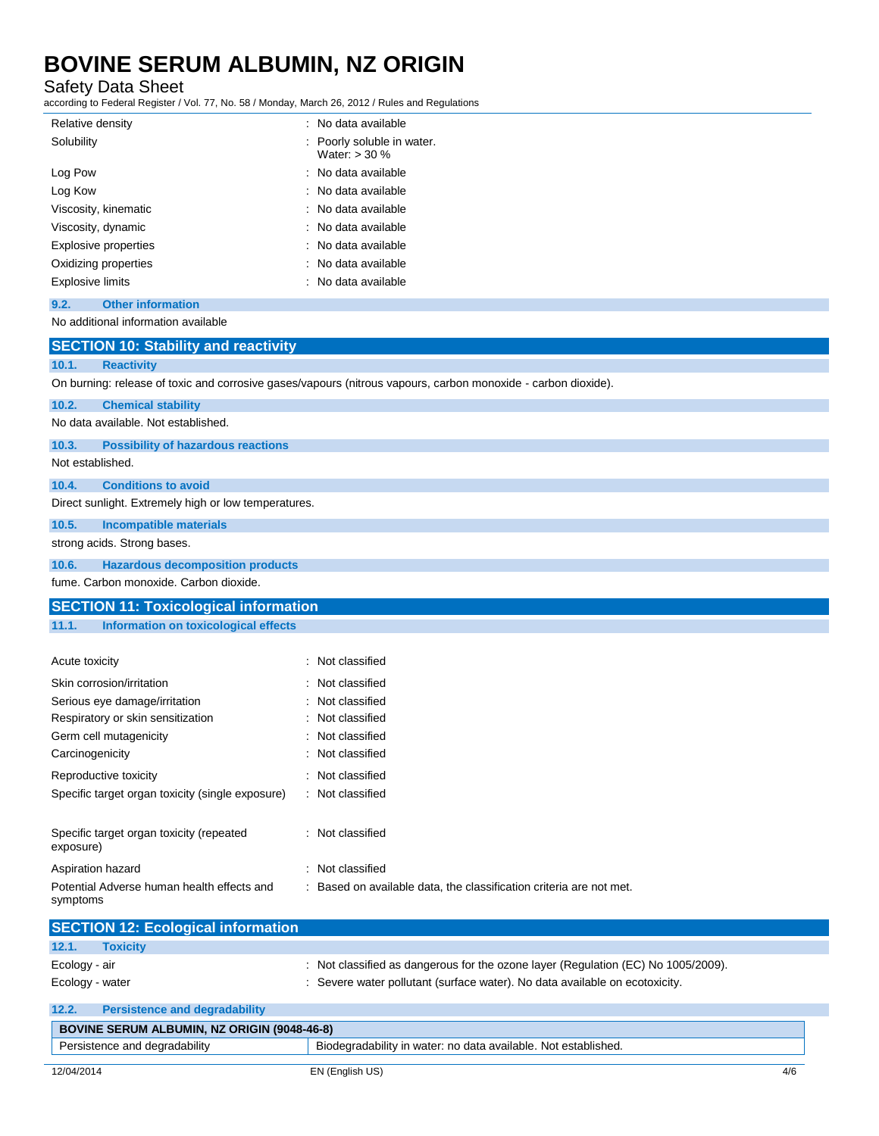### Safety Data Sheet

according to Federal Register / Vol. 77, No. 58 / Monday, March 26, 2012 / Rules and Regulations

| Relative density                 | : No data available                           |
|----------------------------------|-----------------------------------------------|
| Solubility                       | : Poorly soluble in water.<br>Water: $>$ 30 % |
| Log Pow                          | : No data available                           |
| Log Kow                          | : No data available                           |
| Viscosity, kinematic             | : No data available                           |
| Viscosity, dynamic               | : No data available                           |
| Explosive properties             | : No data available                           |
| Oxidizing properties             | : No data available                           |
| <b>Explosive limits</b>          | : No data available                           |
| 9.2.<br><b>Other information</b> |                                               |

#### No additional information available

| <b>SECTION 10: Stability and reactivity</b>            |                                                                                                               |
|--------------------------------------------------------|---------------------------------------------------------------------------------------------------------------|
| <b>Reactivity</b><br>10.1.                             |                                                                                                               |
|                                                        | On burning: release of toxic and corrosive gases/vapours (nitrous vapours, carbon monoxide - carbon dioxide). |
| 10.2.<br><b>Chemical stability</b>                     |                                                                                                               |
| No data available. Not established.                    |                                                                                                               |
| 10.3.<br><b>Possibility of hazardous reactions</b>     |                                                                                                               |
| Not established.                                       |                                                                                                               |
| <b>Conditions to avoid</b><br>10.4.                    |                                                                                                               |
| Direct sunlight. Extremely high or low temperatures.   |                                                                                                               |
| 10.5.<br><b>Incompatible materials</b>                 |                                                                                                               |
| strong acids. Strong bases.                            |                                                                                                               |
| 10.6.<br><b>Hazardous decomposition products</b>       |                                                                                                               |
| fume. Carbon monoxide. Carbon dioxide.                 |                                                                                                               |
| <b>SECTION 11: Toxicological information</b>           |                                                                                                               |
| 11.1.<br><b>Information on toxicological effects</b>   |                                                                                                               |
|                                                        |                                                                                                               |
| Acute toxicity                                         | : Not classified                                                                                              |
| Skin corrosion/irritation                              | Not classified                                                                                                |
| Serious eye damage/irritation                          | Not classified                                                                                                |
| Respiratory or skin sensitization                      | : Not classified                                                                                              |
| Germ cell mutagenicity                                 | : Not classified                                                                                              |
| Carcinogenicity                                        | : Not classified                                                                                              |
| Reproductive toxicity                                  | : Not classified                                                                                              |
| Specific target organ toxicity (single exposure)       | : Not classified                                                                                              |
|                                                        |                                                                                                               |
| Specific target organ toxicity (repeated<br>exposure)  | : Not classified                                                                                              |
| Aspiration hazard                                      | : Not classified                                                                                              |
| Potential Adverse human health effects and<br>symptoms | : Based on available data, the classification criteria are not met.                                           |
| <b>SECTION 12: Ecological information</b>              |                                                                                                               |
| 12.1.<br><b>Toxicity</b>                               |                                                                                                               |

| Ecology - air   | : Not classified as dangerous for the ozone layer (Regulation (EC) No $1005/2009$ ). |
|-----------------|--------------------------------------------------------------------------------------|
| Ecology - water | : Severe water pollutant (surface water). No data available on ecotoxicity.          |

| <b>Persistence and degradability</b><br>12.2.      |                                                                |     |
|----------------------------------------------------|----------------------------------------------------------------|-----|
| <b>BOVINE SERUM ALBUMIN, NZ ORIGIN (9048-46-8)</b> |                                                                |     |
| Persistence and degradability                      | Biodegradability in water: no data available. Not established. |     |
| 12/04/2014                                         | EN (English US)                                                | 4/6 |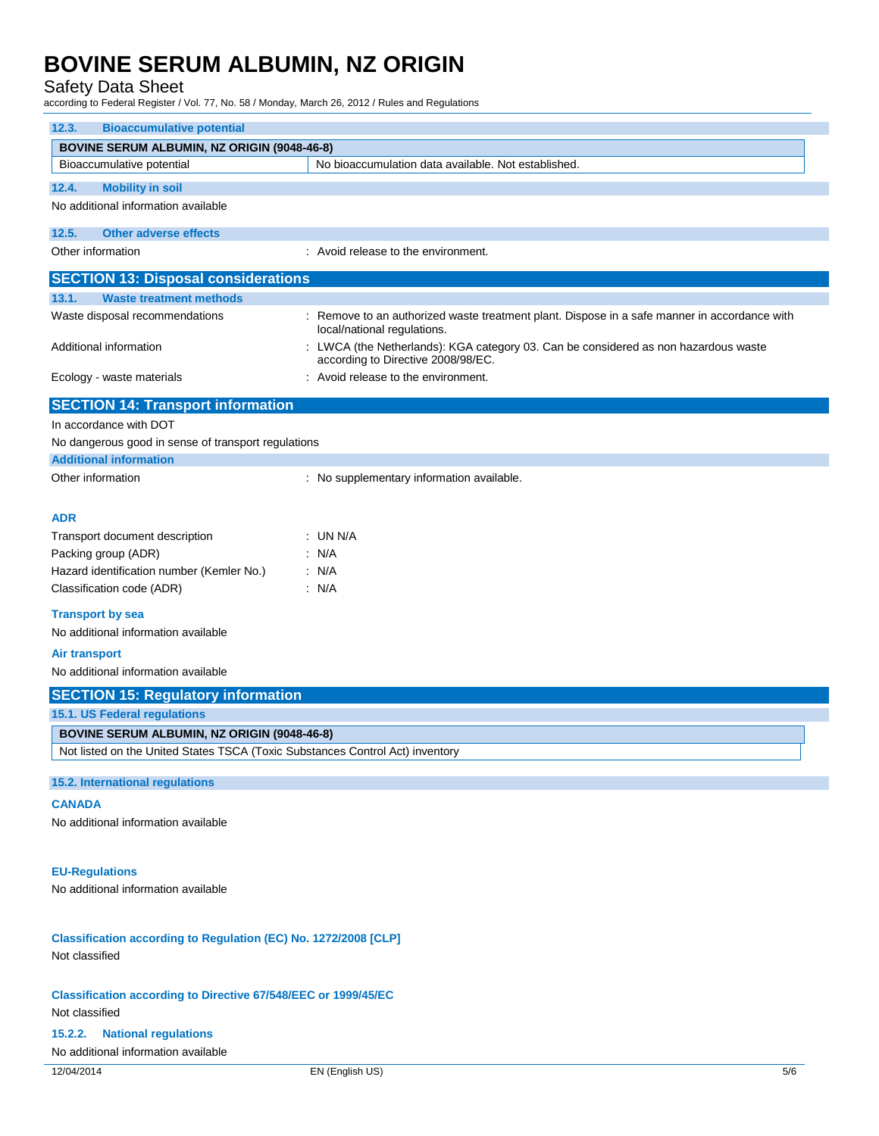### Safety Data Sheet

according to Federal Register / Vol. 77, No. 58 / Monday, March 26, 2012 / Rules and Regulations

| <b>Bioaccumulative potential</b><br>12.3.                                                                                           |                                                                                                                             |  |
|-------------------------------------------------------------------------------------------------------------------------------------|-----------------------------------------------------------------------------------------------------------------------------|--|
| <b>BOVINE SERUM ALBUMIN, NZ ORIGIN (9048-46-8)</b>                                                                                  |                                                                                                                             |  |
| Bioaccumulative potential                                                                                                           | No bioaccumulation data available. Not established.                                                                         |  |
| 12.4.<br><b>Mobility in soil</b>                                                                                                    |                                                                                                                             |  |
| No additional information available                                                                                                 |                                                                                                                             |  |
| 12.5.<br><b>Other adverse effects</b>                                                                                               |                                                                                                                             |  |
| Other information                                                                                                                   | : Avoid release to the environment.                                                                                         |  |
| <b>SECTION 13: Disposal considerations</b>                                                                                          |                                                                                                                             |  |
| 13.1.<br><b>Waste treatment methods</b>                                                                                             |                                                                                                                             |  |
| Waste disposal recommendations                                                                                                      | : Remove to an authorized waste treatment plant. Dispose in a safe manner in accordance with<br>local/national regulations. |  |
| Additional information                                                                                                              | : LWCA (the Netherlands): KGA category 03. Can be considered as non hazardous waste<br>according to Directive 2008/98/EC.   |  |
| Ecology - waste materials                                                                                                           | : Avoid release to the environment.                                                                                         |  |
| <b>SECTION 14: Transport information</b>                                                                                            |                                                                                                                             |  |
| In accordance with DOT                                                                                                              |                                                                                                                             |  |
| No dangerous good in sense of transport regulations                                                                                 |                                                                                                                             |  |
| <b>Additional information</b>                                                                                                       |                                                                                                                             |  |
| Other information                                                                                                                   | : No supplementary information available.                                                                                   |  |
| <b>ADR</b>                                                                                                                          |                                                                                                                             |  |
| Transport document description                                                                                                      | : UN N/A                                                                                                                    |  |
| Packing group (ADR)                                                                                                                 | : N/A                                                                                                                       |  |
| Hazard identification number (Kemler No.)                                                                                           | : N/A                                                                                                                       |  |
| Classification code (ADR)                                                                                                           | $\therefore$ N/A                                                                                                            |  |
| <b>Transport by sea</b><br>No additional information available                                                                      |                                                                                                                             |  |
|                                                                                                                                     |                                                                                                                             |  |
| <b>Air transport</b><br>No additional information available                                                                         |                                                                                                                             |  |
|                                                                                                                                     |                                                                                                                             |  |
| <b>SECTION 15: Regulatory information</b>                                                                                           |                                                                                                                             |  |
| 15.1. US Federal regulations                                                                                                        |                                                                                                                             |  |
| <b>BOVINE SERUM ALBUMIN, NZ ORIGIN (9048-46-8)</b><br>Not listed on the United States TSCA (Toxic Substances Control Act) inventory |                                                                                                                             |  |
|                                                                                                                                     |                                                                                                                             |  |
| 15.2. International regulations                                                                                                     |                                                                                                                             |  |
| <b>CANADA</b>                                                                                                                       |                                                                                                                             |  |
| No additional information available                                                                                                 |                                                                                                                             |  |
| <b>EU-Regulations</b>                                                                                                               |                                                                                                                             |  |
| No additional information available                                                                                                 |                                                                                                                             |  |
|                                                                                                                                     |                                                                                                                             |  |
| Classification according to Regulation (EC) No. 1272/2008 [CLP]                                                                     |                                                                                                                             |  |
| Not classified                                                                                                                      |                                                                                                                             |  |
| <b>Classification according to Directive 67/548/EEC or 1999/45/EC</b>                                                               |                                                                                                                             |  |
| Not classified                                                                                                                      |                                                                                                                             |  |
| <b>National regulations</b><br>15.2.2.                                                                                              |                                                                                                                             |  |
| No additional information available                                                                                                 |                                                                                                                             |  |
| 12/04/2014                                                                                                                          | EN (English US)<br>5/6                                                                                                      |  |